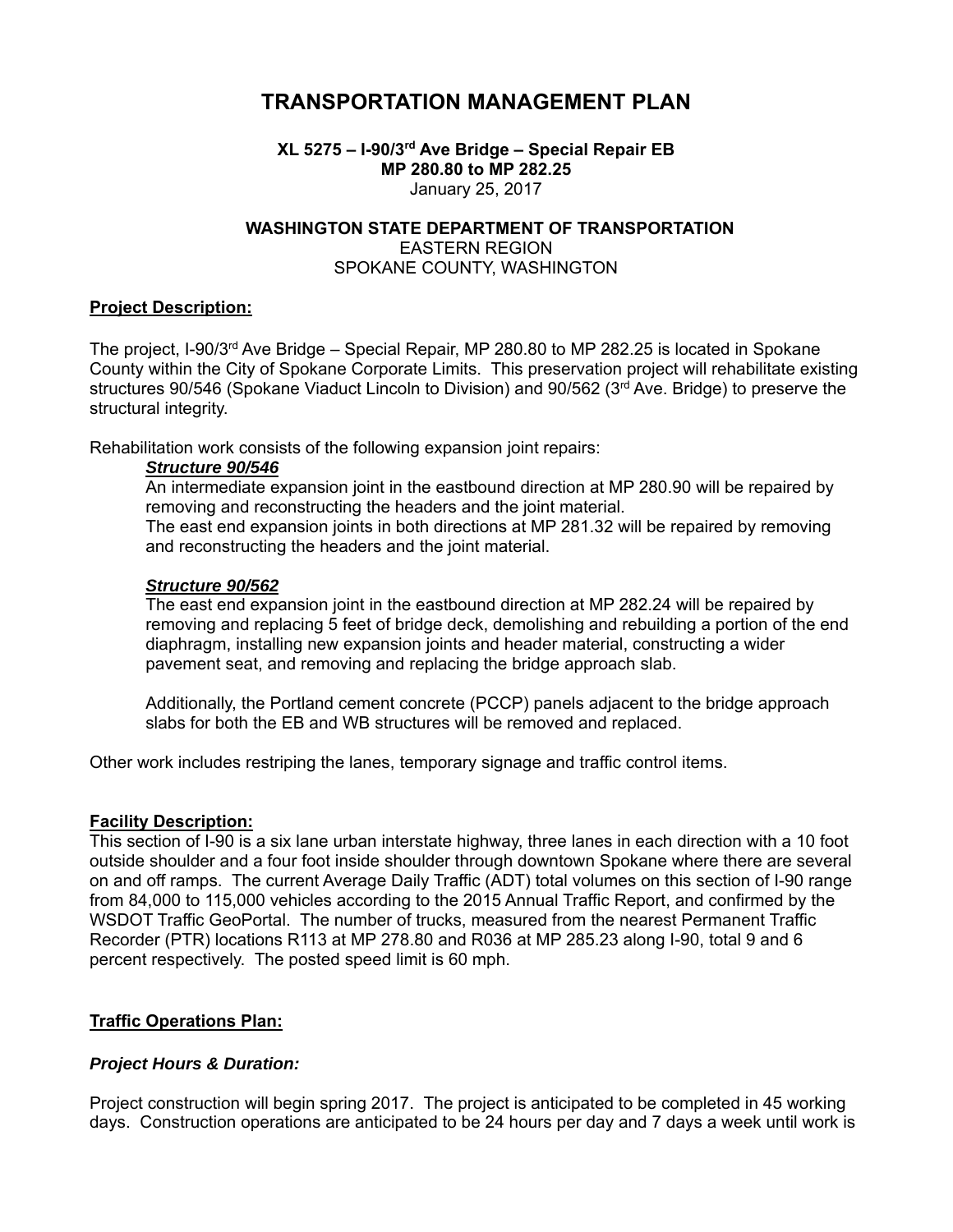# **TRANSPORTATION MANAGEMENT PLAN**

# **XL 5275 – I-90/3rd Ave Bridge – Special Repair EB MP 280.80 to MP 282.25**  January 25, 2017

# **WASHINGTON STATE DEPARTMENT OF TRANSPORTATION**  EASTERN REGION SPOKANE COUNTY, WASHINGTON

# **Project Description:**

The project, I-90/3<sup>rd</sup> Ave Bridge – Special Repair, MP 280.80 to MP 282.25 is located in Spokane County within the City of Spokane Corporate Limits. This preservation project will rehabilitate existing structures 90/546 (Spokane Viaduct Lincoln to Division) and 90/562 (3rd Ave. Bridge) to preserve the structural integrity.

Rehabilitation work consists of the following expansion joint repairs:

#### *Structure 90/546*

An intermediate expansion joint in the eastbound direction at MP 280.90 will be repaired by removing and reconstructing the headers and the joint material.

The east end expansion joints in both directions at MP 281.32 will be repaired by removing and reconstructing the headers and the joint material.

#### *Structure 90/562*

The east end expansion joint in the eastbound direction at MP 282.24 will be repaired by removing and replacing 5 feet of bridge deck, demolishing and rebuilding a portion of the end diaphragm, installing new expansion joints and header material, constructing a wider pavement seat, and removing and replacing the bridge approach slab.

Additionally, the Portland cement concrete (PCCP) panels adjacent to the bridge approach slabs for both the EB and WB structures will be removed and replaced.

Other work includes restriping the lanes, temporary signage and traffic control items.

# **Facility Description:**

This section of I-90 is a six lane urban interstate highway, three lanes in each direction with a 10 foot outside shoulder and a four foot inside shoulder through downtown Spokane where there are several on and off ramps. The current Average Daily Traffic (ADT) total volumes on this section of I-90 range from 84,000 to 115,000 vehicles according to the 2015 Annual Traffic Report, and confirmed by the WSDOT Traffic GeoPortal. The number of trucks, measured from the nearest Permanent Traffic Recorder (PTR) locations R113 at MP 278.80 and R036 at MP 285.23 along I-90, total 9 and 6 percent respectively. The posted speed limit is 60 mph.

# **Traffic Operations Plan:**

# *Project Hours & Duration:*

Project construction will begin spring 2017. The project is anticipated to be completed in 45 working days. Construction operations are anticipated to be 24 hours per day and 7 days a week until work is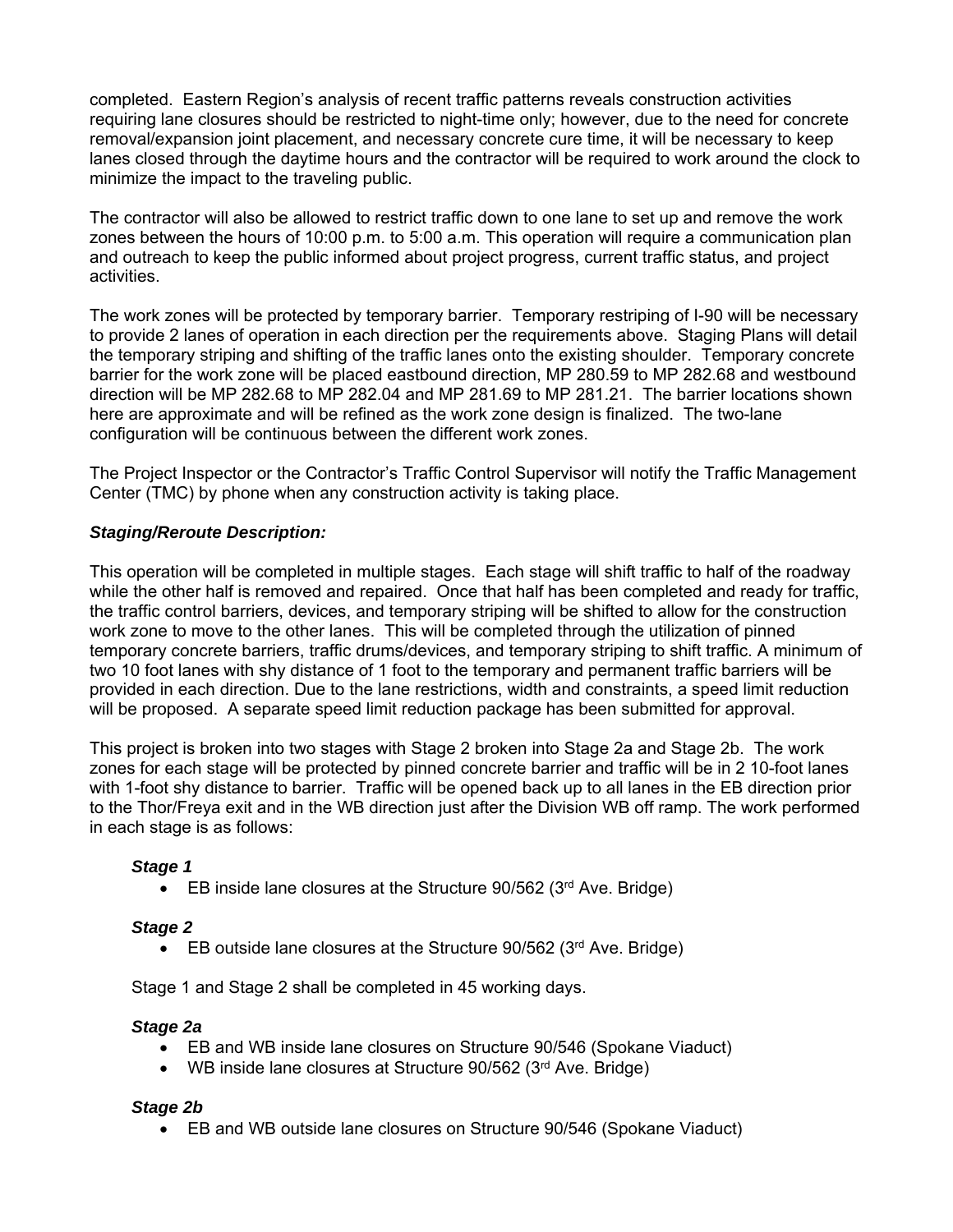completed. Eastern Region's analysis of recent traffic patterns reveals construction activities requiring lane closures should be restricted to night-time only; however, due to the need for concrete removal/expansion joint placement, and necessary concrete cure time, it will be necessary to keep lanes closed through the daytime hours and the contractor will be required to work around the clock to minimize the impact to the traveling public.

The contractor will also be allowed to restrict traffic down to one lane to set up and remove the work zones between the hours of 10:00 p.m. to 5:00 a.m. This operation will require a communication plan and outreach to keep the public informed about project progress, current traffic status, and project activities.

The work zones will be protected by temporary barrier. Temporary restriping of I-90 will be necessary to provide 2 lanes of operation in each direction per the requirements above. Staging Plans will detail the temporary striping and shifting of the traffic lanes onto the existing shoulder. Temporary concrete barrier for the work zone will be placed eastbound direction, MP 280.59 to MP 282.68 and westbound direction will be MP 282.68 to MP 282.04 and MP 281.69 to MP 281.21. The barrier locations shown here are approximate and will be refined as the work zone design is finalized. The two-lane configuration will be continuous between the different work zones.

The Project Inspector or the Contractor's Traffic Control Supervisor will notify the Traffic Management Center (TMC) by phone when any construction activity is taking place.

# *Staging/Reroute Description:*

This operation will be completed in multiple stages. Each stage will shift traffic to half of the roadway while the other half is removed and repaired. Once that half has been completed and ready for traffic, the traffic control barriers, devices, and temporary striping will be shifted to allow for the construction work zone to move to the other lanes. This will be completed through the utilization of pinned temporary concrete barriers, traffic drums/devices, and temporary striping to shift traffic. A minimum of two 10 foot lanes with shy distance of 1 foot to the temporary and permanent traffic barriers will be provided in each direction. Due to the lane restrictions, width and constraints, a speed limit reduction will be proposed. A separate speed limit reduction package has been submitted for approval.

This project is broken into two stages with Stage 2 broken into Stage 2a and Stage 2b. The work zones for each stage will be protected by pinned concrete barrier and traffic will be in 2 10-foot lanes with 1-foot shy distance to barrier. Traffic will be opened back up to all lanes in the EB direction prior to the Thor/Freya exit and in the WB direction just after the Division WB off ramp. The work performed in each stage is as follows:

#### *Stage 1*

**EB** inside lane closures at the Structure  $90/562$  ( $3<sup>rd</sup>$  Ave. Bridge)

#### *Stage 2*

**EB** outside lane closures at the Structure 90/562 ( $3<sup>rd</sup>$  Ave. Bridge)

Stage 1 and Stage 2 shall be completed in 45 working days.

#### *Stage 2a*

- EB and WB inside lane closures on Structure 90/546 (Spokane Viaduct)
- WB inside lane closures at Structure 90/562 (3<sup>rd</sup> Ave. Bridge)

#### *Stage 2b*

EB and WB outside lane closures on Structure 90/546 (Spokane Viaduct)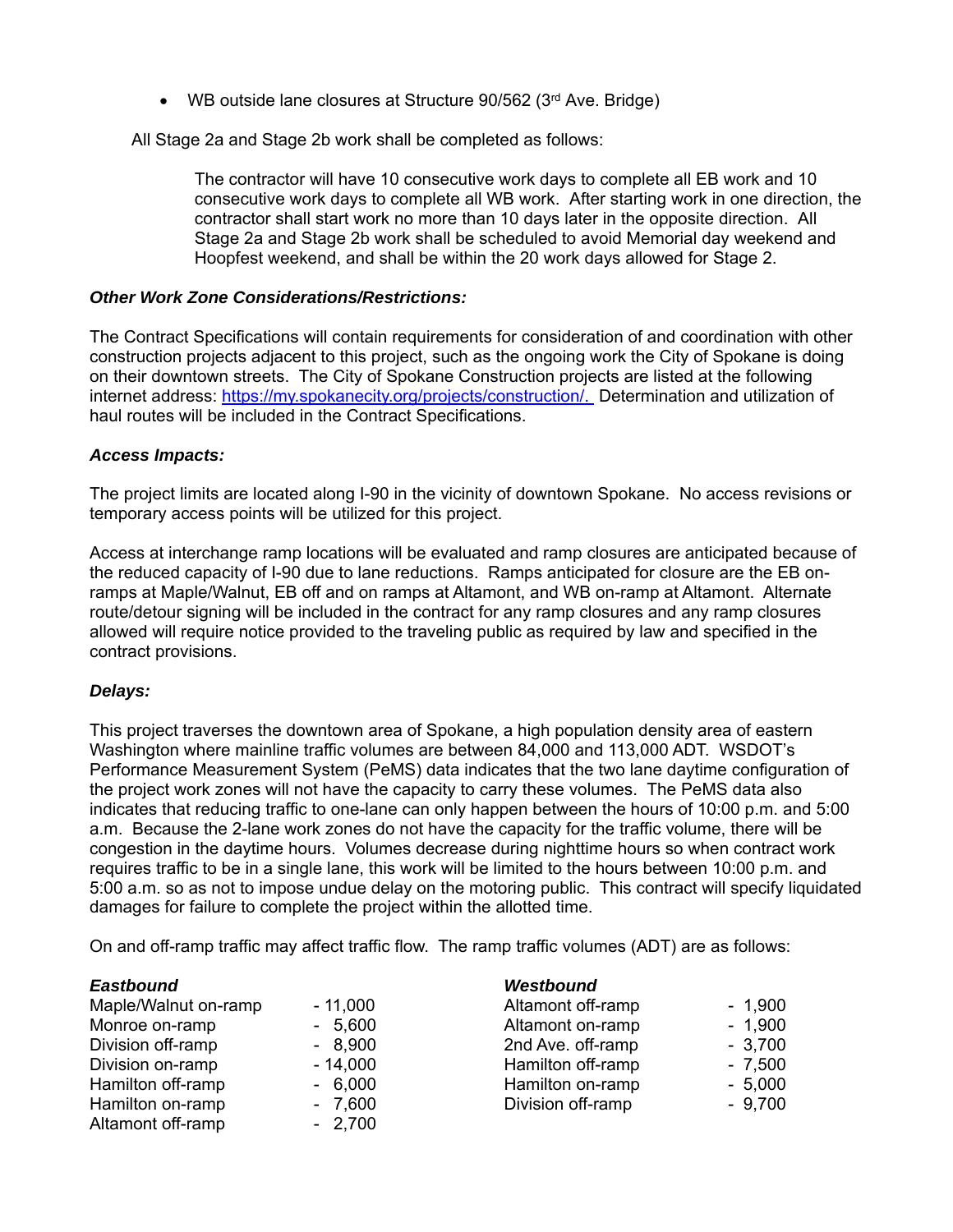WB outside lane closures at Structure 90/562 (3rd Ave. Bridge)

All Stage 2a and Stage 2b work shall be completed as follows:

The contractor will have 10 consecutive work days to complete all EB work and 10 consecutive work days to complete all WB work. After starting work in one direction, the contractor shall start work no more than 10 days later in the opposite direction. All Stage 2a and Stage 2b work shall be scheduled to avoid Memorial day weekend and Hoopfest weekend, and shall be within the 20 work days allowed for Stage 2.

#### *Other Work Zone Considerations/Restrictions:*

The Contract Specifications will contain requirements for consideration of and coordination with other construction projects adjacent to this project, such as the ongoing work the City of Spokane is doing on their downtown streets. The City of Spokane Construction projects are listed at the following internet address: https://my.spokanecity.org/projects/construction/. Determination and utilization of haul routes will be included in the Contract Specifications.

#### *Access Impacts:*

The project limits are located along I-90 in the vicinity of downtown Spokane. No access revisions or temporary access points will be utilized for this project.

Access at interchange ramp locations will be evaluated and ramp closures are anticipated because of the reduced capacity of I-90 due to lane reductions. Ramps anticipated for closure are the EB onramps at Maple/Walnut, EB off and on ramps at Altamont, and WB on-ramp at Altamont. Alternate route/detour signing will be included in the contract for any ramp closures and any ramp closures allowed will require notice provided to the traveling public as required by law and specified in the contract provisions.

# *Delays:*

This project traverses the downtown area of Spokane, a high population density area of eastern Washington where mainline traffic volumes are between 84,000 and 113,000 ADT. WSDOT's Performance Measurement System (PeMS) data indicates that the two lane daytime configuration of the project work zones will not have the capacity to carry these volumes. The PeMS data also indicates that reducing traffic to one-lane can only happen between the hours of 10:00 p.m. and 5:00 a.m. Because the 2-lane work zones do not have the capacity for the traffic volume, there will be congestion in the daytime hours. Volumes decrease during nighttime hours so when contract work requires traffic to be in a single lane, this work will be limited to the hours between 10:00 p.m. and 5:00 a.m. so as not to impose undue delay on the motoring public. This contract will specify liquidated damages for failure to complete the project within the allotted time.

On and off-ramp traffic may affect traffic flow. The ramp traffic volumes (ADT) are as follows:

| <b>Eastbound</b>     |           | <b>Westbound</b>  |          |
|----------------------|-----------|-------------------|----------|
| Maple/Walnut on-ramp | $-11,000$ | Altamont off-ramp | $-1,900$ |
| Monroe on-ramp       | $-5,600$  | Altamont on-ramp  | $-1,900$ |
| Division off-ramp    | $-8,900$  | 2nd Ave. off-ramp | $-3,700$ |
| Division on-ramp     | $-14,000$ | Hamilton off-ramp | $-7,500$ |
| Hamilton off-ramp    | $-6,000$  | Hamilton on-ramp  | $-5,000$ |
| Hamilton on-ramp     | $-7,600$  | Division off-ramp | $-9,700$ |
| Altamont off-ramp    | $-2,700$  |                   |          |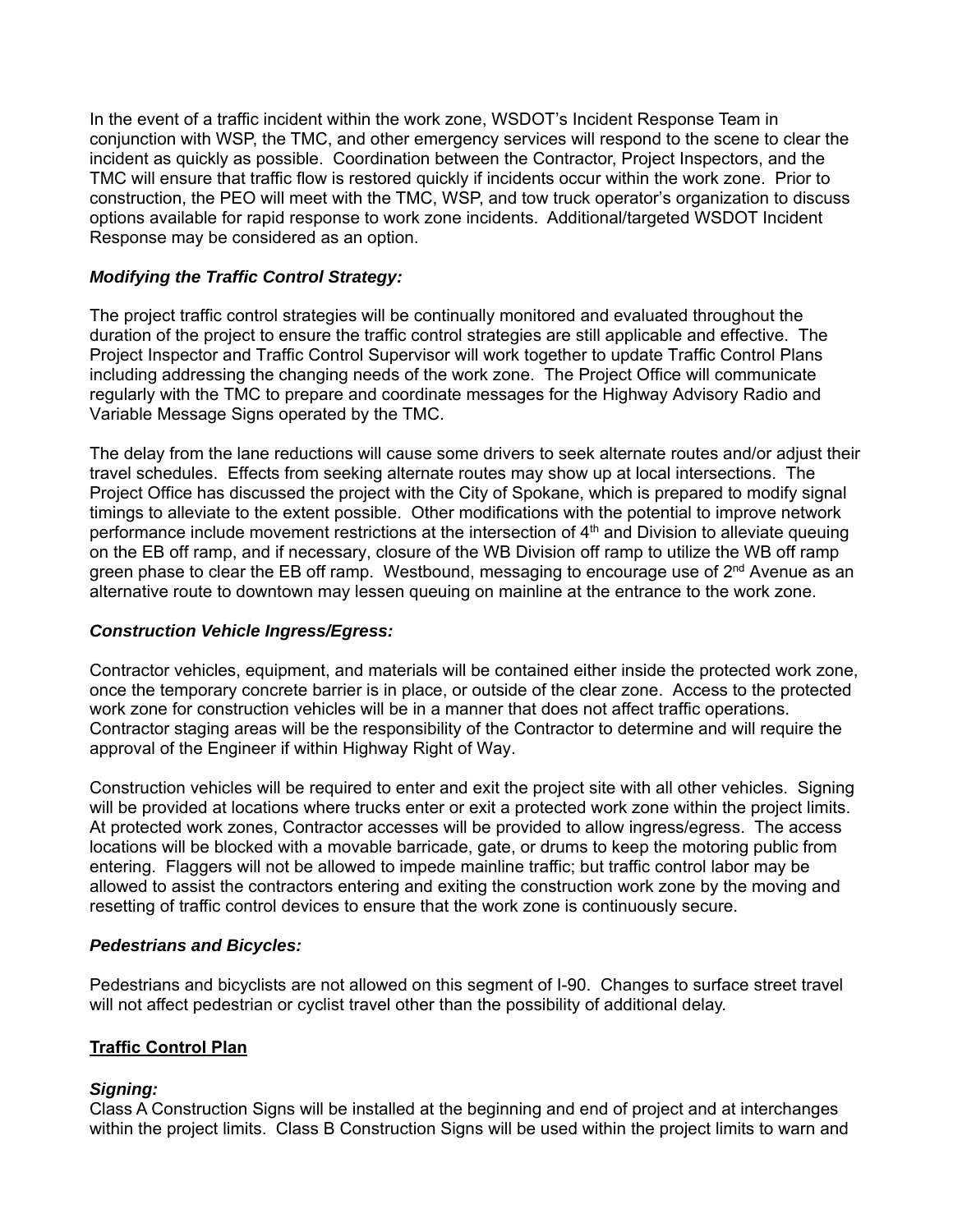In the event of a traffic incident within the work zone, WSDOT's Incident Response Team in conjunction with WSP, the TMC, and other emergency services will respond to the scene to clear the incident as quickly as possible. Coordination between the Contractor, Project Inspectors, and the TMC will ensure that traffic flow is restored quickly if incidents occur within the work zone. Prior to construction, the PEO will meet with the TMC, WSP, and tow truck operator's organization to discuss options available for rapid response to work zone incidents. Additional/targeted WSDOT Incident Response may be considered as an option.

# *Modifying the Traffic Control Strategy:*

The project traffic control strategies will be continually monitored and evaluated throughout the duration of the project to ensure the traffic control strategies are still applicable and effective. The Project Inspector and Traffic Control Supervisor will work together to update Traffic Control Plans including addressing the changing needs of the work zone. The Project Office will communicate regularly with the TMC to prepare and coordinate messages for the Highway Advisory Radio and Variable Message Signs operated by the TMC.

The delay from the lane reductions will cause some drivers to seek alternate routes and/or adjust their travel schedules. Effects from seeking alternate routes may show up at local intersections. The Project Office has discussed the project with the City of Spokane, which is prepared to modify signal timings to alleviate to the extent possible. Other modifications with the potential to improve network performance include movement restrictions at the intersection of  $4<sup>th</sup>$  and Division to alleviate queuing on the EB off ramp, and if necessary, closure of the WB Division off ramp to utilize the WB off ramp green phase to clear the EB off ramp. Westbound, messaging to encourage use of 2<sup>nd</sup> Avenue as an alternative route to downtown may lessen queuing on mainline at the entrance to the work zone.

# *Construction Vehicle Ingress/Egress:*

Contractor vehicles, equipment, and materials will be contained either inside the protected work zone, once the temporary concrete barrier is in place, or outside of the clear zone. Access to the protected work zone for construction vehicles will be in a manner that does not affect traffic operations. Contractor staging areas will be the responsibility of the Contractor to determine and will require the approval of the Engineer if within Highway Right of Way.

Construction vehicles will be required to enter and exit the project site with all other vehicles. Signing will be provided at locations where trucks enter or exit a protected work zone within the project limits. At protected work zones, Contractor accesses will be provided to allow ingress/egress. The access locations will be blocked with a movable barricade, gate, or drums to keep the motoring public from entering. Flaggers will not be allowed to impede mainline traffic; but traffic control labor may be allowed to assist the contractors entering and exiting the construction work zone by the moving and resetting of traffic control devices to ensure that the work zone is continuously secure.

# *Pedestrians and Bicycles:*

Pedestrians and bicyclists are not allowed on this segment of I-90. Changes to surface street travel will not affect pedestrian or cyclist travel other than the possibility of additional delay.

# **Traffic Control Plan**

# *Signing:*

Class A Construction Signs will be installed at the beginning and end of project and at interchanges within the project limits. Class B Construction Signs will be used within the project limits to warn and